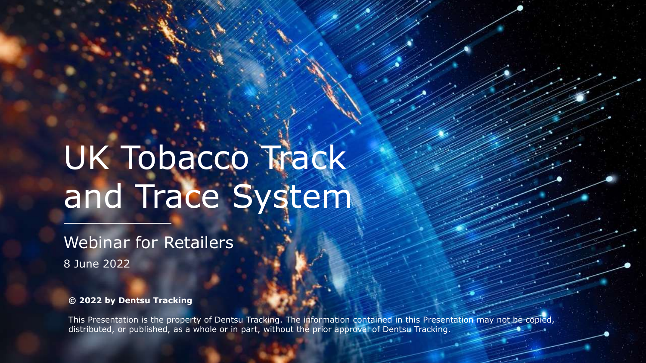# UK Tobacco Track and Trace System

Webinar for Retailers 8 June 2022

**© 2022 by Dentsu Tracking**

This Presentation is the property of Dentsu Tracking. The information contained in this Presentation may not be copied, distributed, or published, as a whole or in part, without the prior approval of Dentsu Tracking.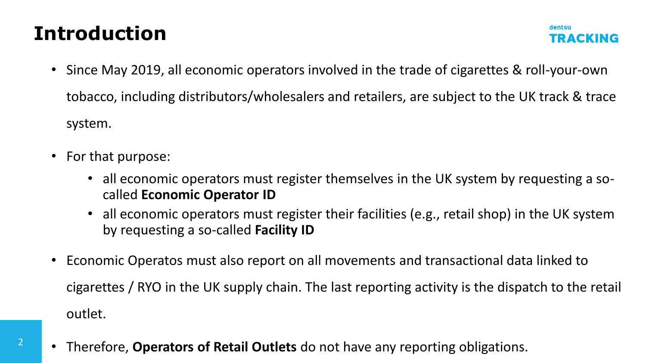#### **Introduction**

• Since May 2019, all economic operators involved in the trade of cigarettes & roll-your-own tobacco, including distributors/wholesalers and retailers, are subject to the UK track & trace system.

dentsu

TRACKING

• For that purpose:

2

- all economic operators must register themselves in the UK system by requesting a socalled **Economic Operator ID**
- all economic operators must register their facilities (e.g., retail shop) in the UK system by requesting a so-called **Facility ID**
- Economic Operatos must also report on all movements and transactional data linked to cigarettes / RYO in the UK supply chain. The last reporting activity is the dispatch to the retail outlet.
- Therefore, **Operators of Retail Outlets** do not have any reporting obligations.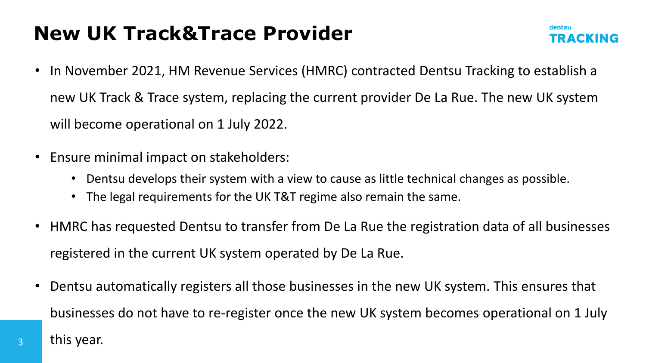#### **New UK Track&Trace Provider**



- In November 2021, HM Revenue Services (HMRC) contracted Dentsu Tracking to establish a new UK Track & Trace system, replacing the current provider De La Rue. The new UK system will become operational on 1 July 2022.
- Ensure minimal impact on stakeholders:
	- Dentsu develops their system with a view to cause as little technical changes as possible.
	- The legal requirements for the UK T&T regime also remain the same.
- HMRC has requested Dentsu to transfer from De La Rue the registration data of all businesses registered in the current UK system operated by De La Rue.
- Dentsu automatically registers all those businesses in the new UK system. This ensures that businesses do not have to re-register once the new UK system becomes operational on 1 July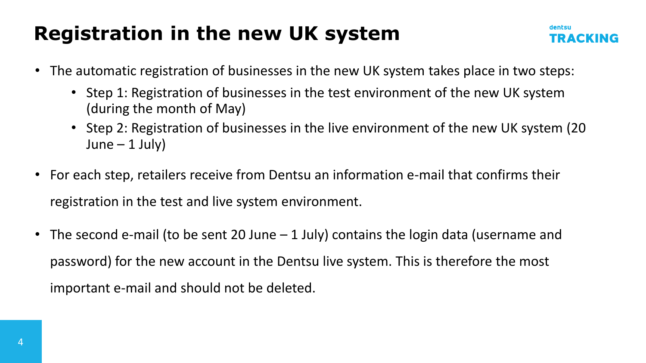#### **Registration in the new UK system**

- The automatic registration of businesses in the new UK system takes place in two steps:
	- Step 1: Registration of businesses in the test environment of the new UK system (during the month of May)
	- Step 2: Registration of businesses in the live environment of the new UK system (20  $June - 1 July)$
- For each step, retailers receive from Dentsu an information e-mail that confirms their registration in the test and live system environment.
- The second e-mail (to be sent 20 June  $-1$  July) contains the login data (username and password) for the new account in the Dentsu live system. This is therefore the most important e-mail and should not be deleted.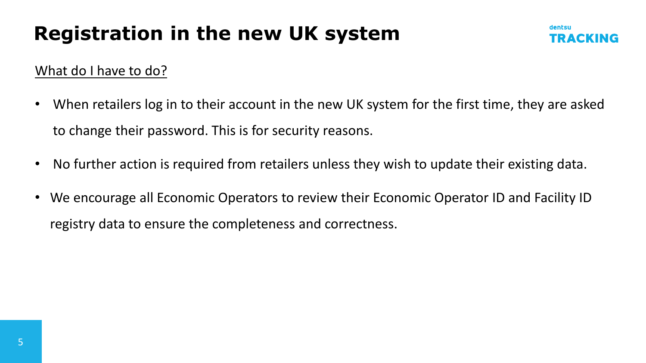#### **Registration in the new UK system**



#### What do I have to do?

- When retailers log in to their account in the new UK system for the first time, they are asked to change their password. This is for security reasons.
- No further action is required from retailers unless they wish to update their existing data.
- We encourage all Economic Operators to review their Economic Operator ID and Facility ID registry data to ensure the completeness and correctness.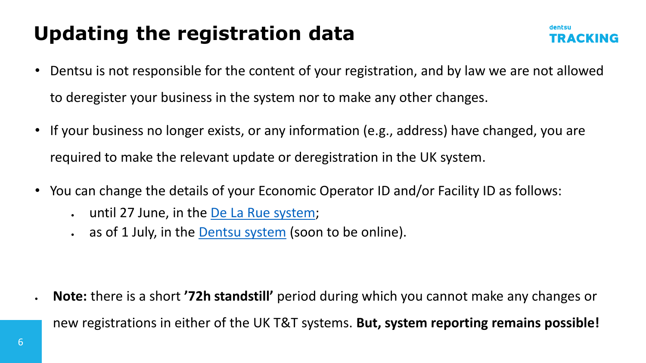### **Updating the registration data**

- Dentsu is not responsible for the content of your registration, and by law we are not allowed to deregister your business in the system nor to make any other changes.
- If your business no longer exists, or any information (e.g., address) have changed, you are required to make the relevant update or deregistration in the UK system.
- You can change the details of your Economic Operator ID and/or Facility ID as follows:
	- until 27 June, in the **De La Rue system**;
	- as of 1 July, in the **[Dentsu](https://idissuer.uk-trackandtrace-dentsutracking.com/) system** (soon to be online).

• **Note:** there is a short **'72h standstill'** period during which you cannot make any changes or new registrations in either of the UK T&T systems. **But, system reporting remains possible!**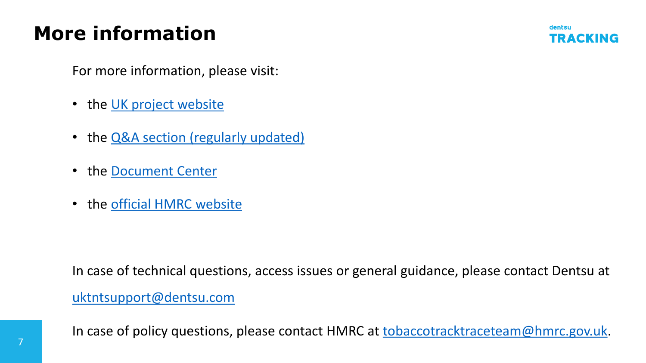### **More information**



For more information, please visit:

- the [UK project website](https://uk-trackandtrace.dentsutracking.com/)
- the **Q&A** section (regularly updated)
- the [Document Center](https://uk-trackandtrace.dentsutracking.com/technical-documentation/)
- the [official HMRC website](https://www.gov.uk/government/collections/rules-for-tobacco-products)

In case of technical questions, access issues or general guidance, please contact Dentsu at

[uktntsupport@dentsu.com](mailto:uktntsupport@dentsu.com)

In case of policy questions, please contact HMRC at [tobaccotracktraceteam@hmrc.gov.uk.](mailto:tobaccotracktraceteam@hmrc.gov.uk)